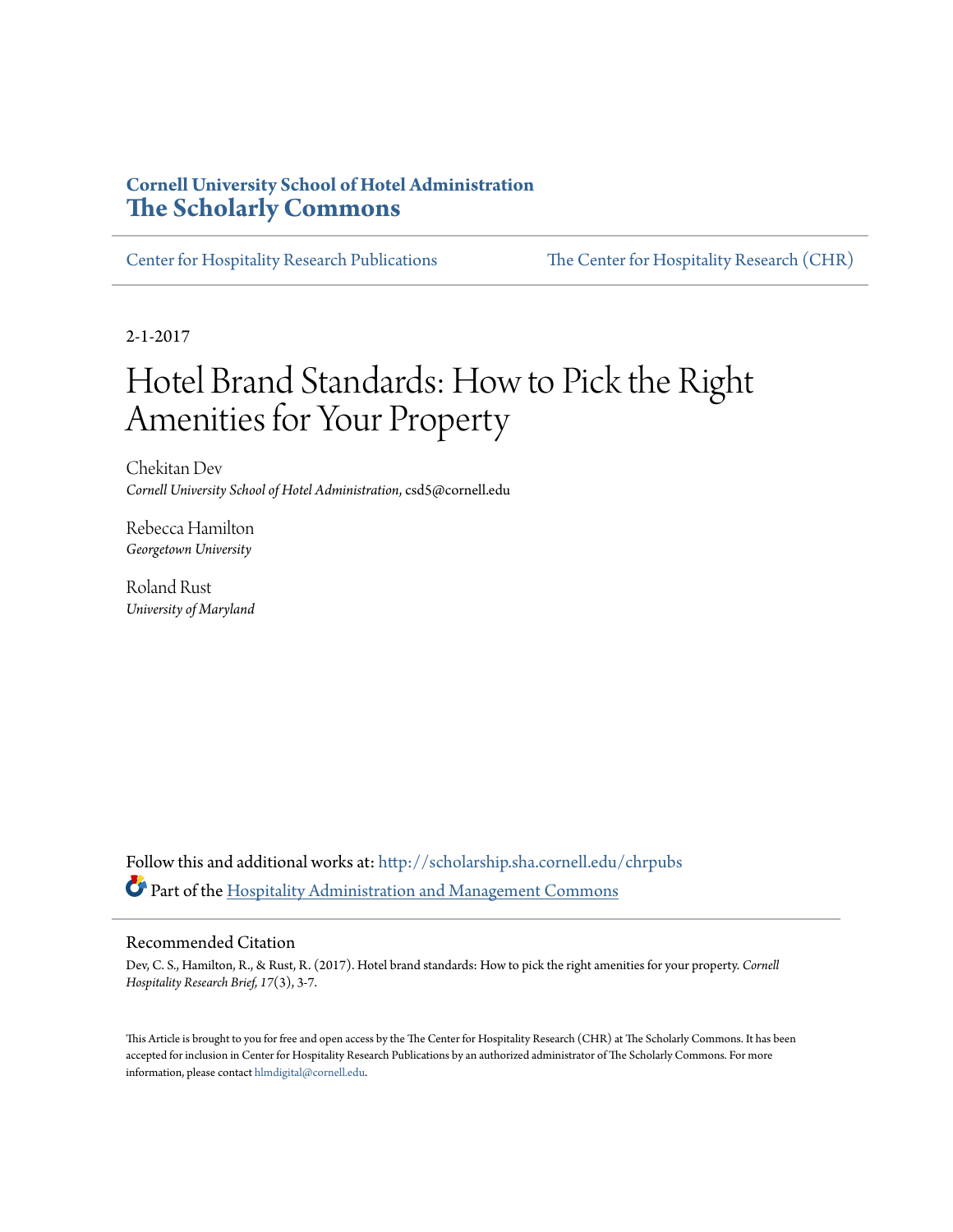#### **Cornell University School of Hotel Administration [The Scholarly Commons](http://scholarship.sha.cornell.edu?utm_source=scholarship.sha.cornell.edu%2Fchrpubs%2F237&utm_medium=PDF&utm_campaign=PDFCoverPages)**

[Center for Hospitality Research Publications](http://scholarship.sha.cornell.edu/chrpubs?utm_source=scholarship.sha.cornell.edu%2Fchrpubs%2F237&utm_medium=PDF&utm_campaign=PDFCoverPages) [The Center for Hospitality Research \(CHR\)](http://scholarship.sha.cornell.edu/chr?utm_source=scholarship.sha.cornell.edu%2Fchrpubs%2F237&utm_medium=PDF&utm_campaign=PDFCoverPages)

2-1-2017

### Hotel Brand Standards: How to Pick the Right Amenities for Your Property

Chekitan Dev *Cornell University School of Hotel Administration*, csd5@cornell.edu

Rebecca Hamilton *Georgetown University*

Roland Rust *University of Maryland*

Follow this and additional works at: [http://scholarship.sha.cornell.edu/chrpubs](http://scholarship.sha.cornell.edu/chrpubs?utm_source=scholarship.sha.cornell.edu%2Fchrpubs%2F237&utm_medium=PDF&utm_campaign=PDFCoverPages) Part of the [Hospitality Administration and Management Commons](http://network.bepress.com/hgg/discipline/632?utm_source=scholarship.sha.cornell.edu%2Fchrpubs%2F237&utm_medium=PDF&utm_campaign=PDFCoverPages)

#### Recommended Citation

Dev, C. S., Hamilton, R., & Rust, R. (2017). Hotel brand standards: How to pick the right amenities for your property. *Cornell Hospitality Research Brief, 17*(3), 3-7.

This Article is brought to you for free and open access by the The Center for Hospitality Research (CHR) at The Scholarly Commons. It has been accepted for inclusion in Center for Hospitality Research Publications by an authorized administrator of The Scholarly Commons. For more information, please contact [hlmdigital@cornell.edu.](mailto:hlmdigital@cornell.edu)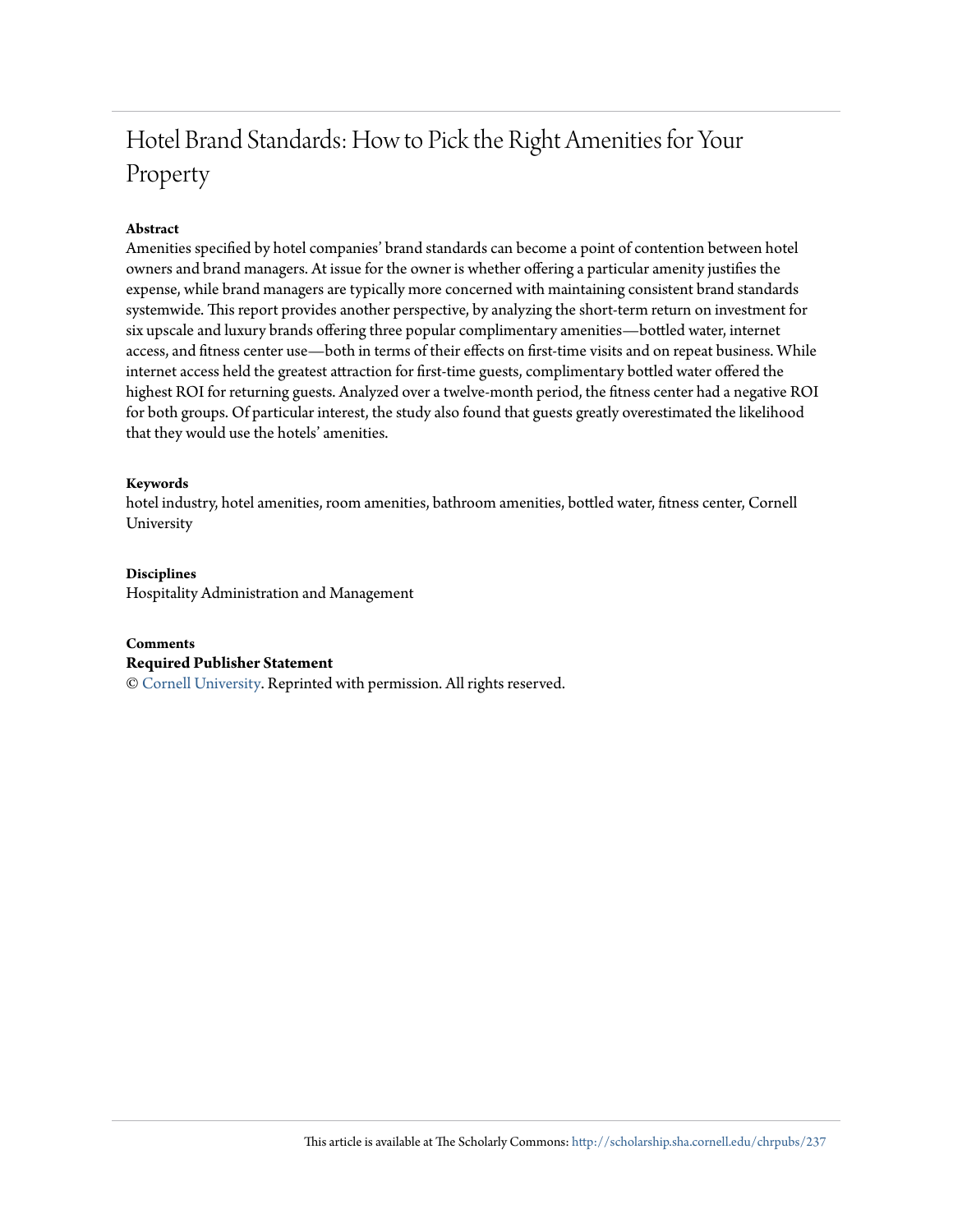### Hotel Brand Standards: How to Pick the Right Amenities for Your Property

#### **Abstract**

Amenities specified by hotel companies' brand standards can become a point of contention between hotel owners and brand managers. At issue for the owner is whether offering a particular amenity justifies the expense, while brand managers are typically more concerned with maintaining consistent brand standards systemwide. This report provides another perspective, by analyzing the short-term return on investment for six upscale and luxury brands offering three popular complimentary amenities—bottled water, internet access, and fitness center use—both in terms of their effects on first-time visits and on repeat business. While internet access held the greatest attraction for first-time guests, complimentary bottled water offered the highest ROI for returning guests. Analyzed over a twelve-month period, the fitness center had a negative ROI for both groups. Of particular interest, the study also found that guests greatly overestimated the likelihood that they would use the hotels' amenities.

#### **Keywords**

hotel industry, hotel amenities, room amenities, bathroom amenities, bottled water, fitness center, Cornell University

#### **Disciplines**

Hospitality Administration and Management

#### **Comments**

#### **Required Publisher Statement**

© [Cornell University.](http://www.cornell.edu) Reprinted with permission. All rights reserved.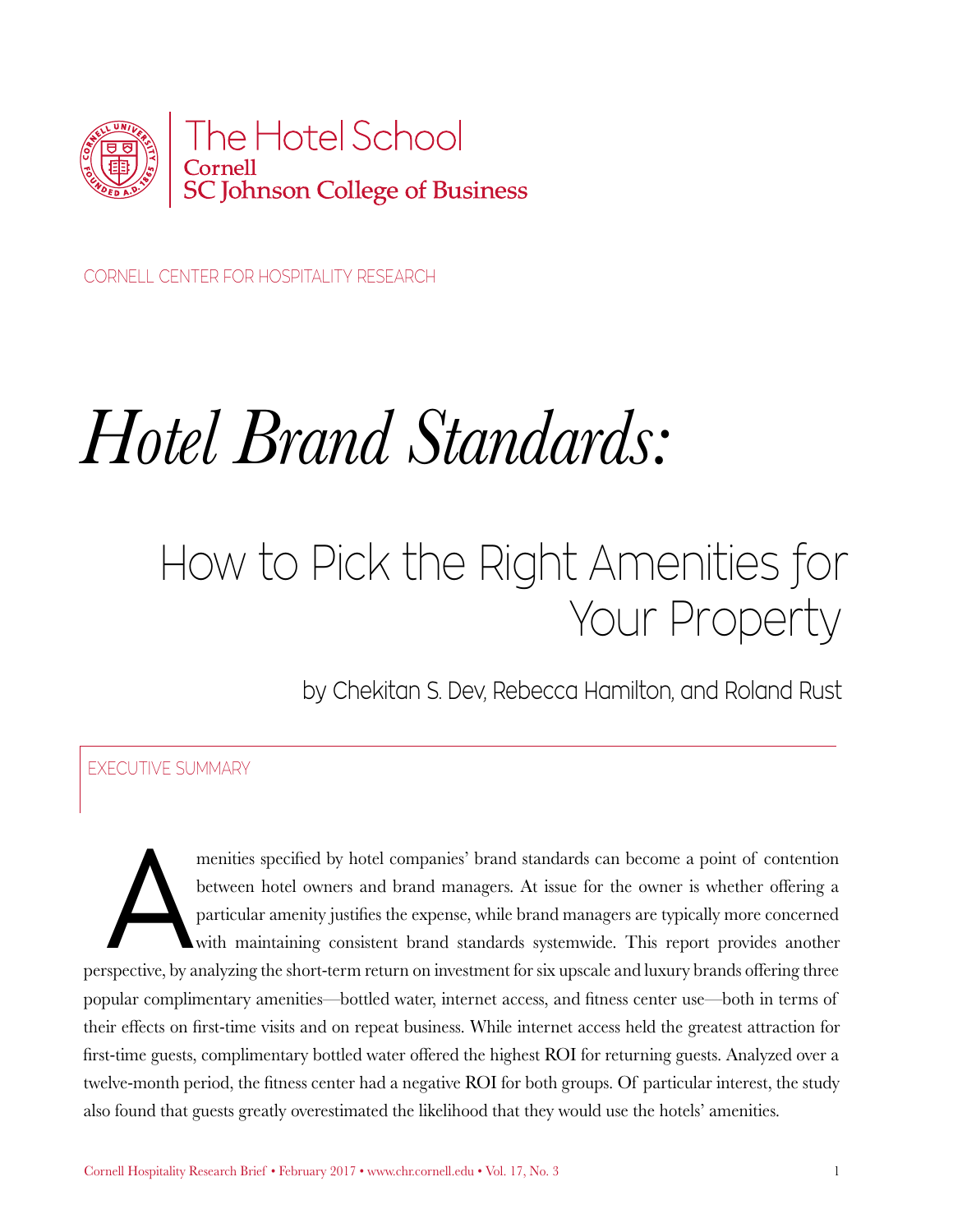

CORNELL CENTER FOR HOSPITALITY RESEARCH

# *Hotel Brand Standards:*

# How to Pick the Right Amenities for Your Property

by Chekitan S. Dev, Rebecca Hamilton, and Roland Rust

#### EXECUTIVE SUMMARY

menities specified by hotel companies' brand standards can become a point of contention<br>between hotel owners and brand managers. At issue for the owner is whether offering a<br>particular amenity justifies the expense, while between hotel owners and brand managers. At issue for the owner is whether offering a particular amenity justifies the expense, while brand managers are typically more concerned with maintaining consistent brand standards systemwide. This report provides another perspective, by analyzing the short-term return on investment for six upscale and luxury brands offering three popular complimentary amenities—bottled water, internet access, and fitness center use—both in terms of their effects on first-time visits and on repeat business. While internet access held the greatest attraction for first-time guests, complimentary bottled water offered the highest ROI for returning guests. Analyzed over a twelve-month period, the fitness center had a negative ROI for both groups. Of particular interest, the study also found that guests greatly overestimated the likelihood that they would use the hotels' amenities.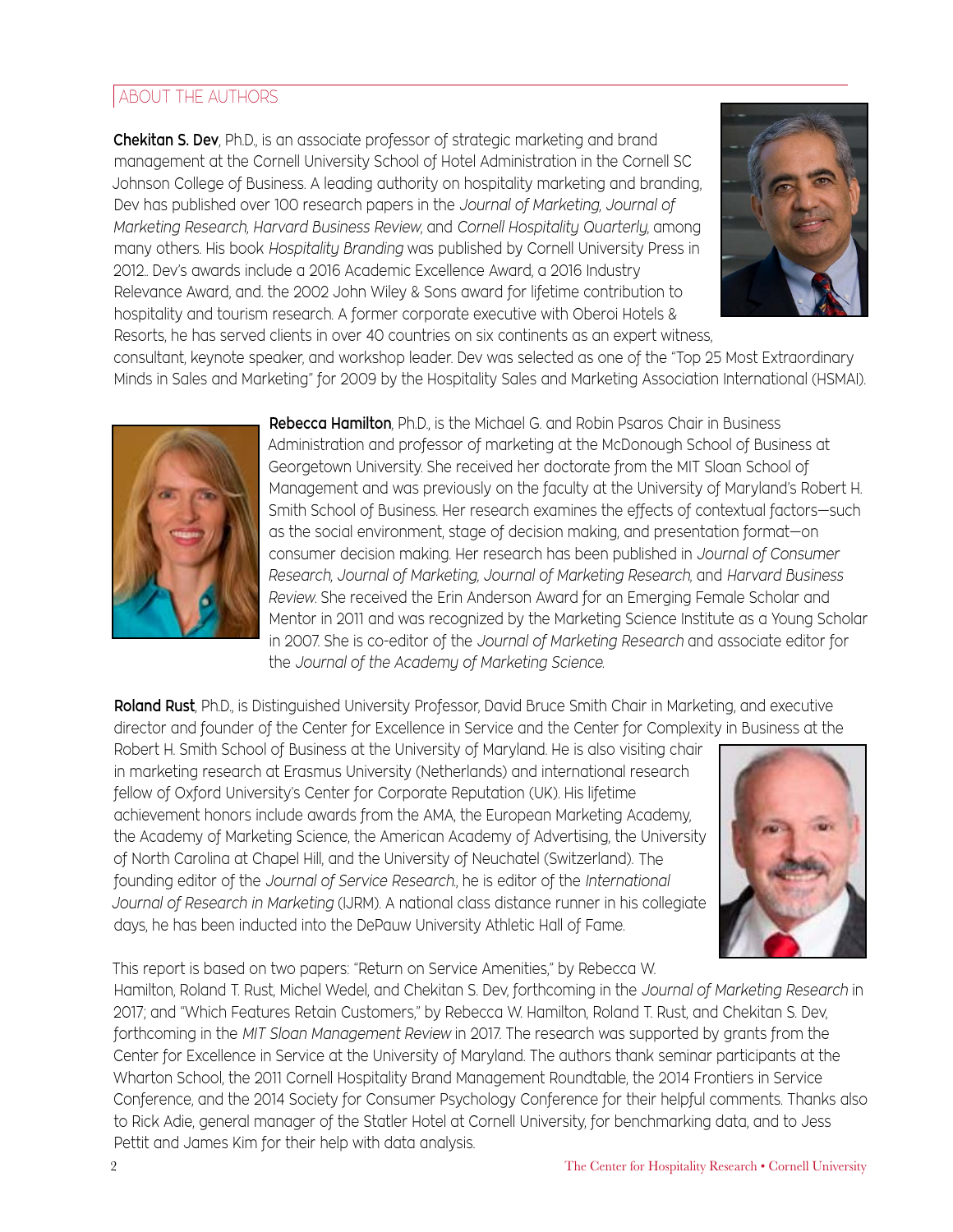#### ABOUT THE AUTHORS

**Chekitan S. Dev**, Ph.D., is an associate professor of strategic marketing and brand management at the Cornell University School of Hotel Administration in the Cornell SC Johnson College of Business. A leading authority on hospitality marketing and branding, Dev has published over 100 research papers in the *Journal of Marketing, Journal of Marketing Research, Harvard Business Review*, and *Cornell Hospitality Quarterly*, among many others. His book *Hospitality Branding* was published by Cornell University Press in 2012.. Dev's awards include a 2016 Academic Excellence Award, a 2016 Industry Relevance Award, and. the 2002 John Wiley & Sons award for lifetime contribution to hospitality and tourism research. A former corporate executive with Oberoi Hotels & Resorts, he has served clients in over 40 countries on six continents as an expert witness,



consultant, keynote speaker, and workshop leader. Dev was selected as one of the "Top 25 Most Extraordinary Minds in Sales and Marketing" for 2009 by the Hospitality Sales and Marketing Association International (HSMAI).



**Rebecca Hamilton**, Ph.D., is the Michael G. and Robin Psaros Chair in Business Administration and professor of marketing at the McDonough School of Business at Georgetown University. She received her doctorate from the MIT Sloan School of Management and was previously on the faculty at the University of Maryland's Robert H. Smith School of Business. Her research examines the effects of contextual factors—such as the social environment, stage of decision making, and presentation format—on consumer decision making. Her research has been published in *Journal of Consumer Research, Journal of Marketing, Journal of Marketing Research*, and *Harvard Business Review*. She received the Erin Anderson Award for an Emerging Female Scholar and Mentor in 2011 and was recognized by the Marketing Science Institute as a Young Scholar in 2007. She is co-editor of the *Journal of Marketing Research* and associate editor for the *Journal of the Academy of Marketing Science*.

**Roland Rust**, Ph.D., is Distinguished University Professor, David Bruce Smith Chair in Marketing, and executive director and founder of the Center for Excellence in Service and the Center for Complexity in Business at the

Robert H. Smith School of Business at the University of Maryland. He is also visiting chair in marketing research at Erasmus University (Netherlands) and international research fellow of Oxford University's Center for Corporate Reputation (UK). His lifetime achievement honors include awards from the AMA, the European Marketing Academy, the Academy of Marketing Science, the American Academy of Advertising, the University of North Carolina at Chapel Hill, and the University of Neuchatel (Switzerland). The founding editor of the *Journal of Service Research*., he is editor of the *International Journal of Research in Marketing* (IJRM). A national class distance runner in his collegiate days, he has been inducted into the DePauw University Athletic Hall of Fame.

Pettit and James Kim for their help with data analysis.



This report is based on two papers: "Return on Service Amenities," by Rebecca W. Hamilton, Roland T. Rust, Michel Wedel, and Chekitan S. Dev, forthcoming in the *Journal of Marketing Research* in 2017; and "Which Features Retain Customers," by Rebecca W. Hamilton, Roland T. Rust, and Chekitan S. Dev, forthcoming in the *MIT Sloan Management Review* in 2017. The research was supported by grants from the Center for Excellence in Service at the University of Maryland. The authors thank seminar participants at the Wharton School, the 2011 Cornell Hospitality Brand Management Roundtable, the 2014 Frontiers in Service Conference, and the 2014 Society for Consumer Psychology Conference for their helpful comments. Thanks also to Rick Adie, general manager of the Statler Hotel at Cornell University, for benchmarking data, and to Jess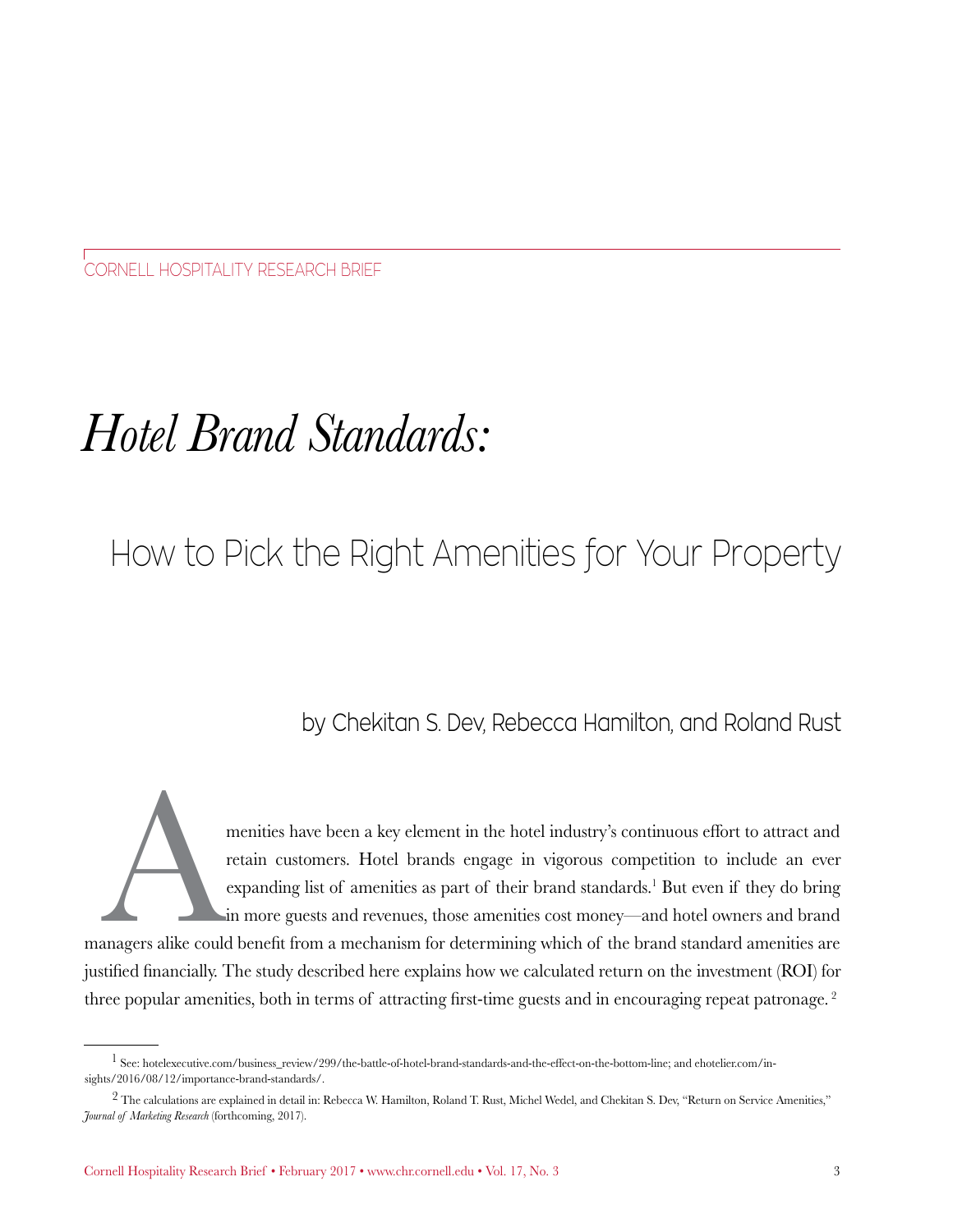CORNELL HOSPITALITY RESEARCH BRIEF

# *Hotel Brand Standards:*

## How to Pick the Right Amenities for Your Property

### by Chekitan S. Dev, Rebecca Hamilton, and Roland Rust

menities have been a key element in the hotel industry's continuous effort to attract and retain customers. Hotel brands engage in vigorous competition to include an ever expanding list of amenities as part of their brand retain customers. Hotel brands engage in vigorous competition to include an ever expanding list of amenities as part of their brand standards.<sup>1</sup> But even if they do bring in more guests and revenues, those amenities cost money—and hotel owners and brand

managers alike could benefit from a mechanism for determining which of the brand standard amenities are justified financially. The study described here explains how we calculated return on the investment (ROI) for three popular amenities, both in terms of attracting first-time guests and in encouraging repeat patronage. 2

 $1$  See: hotelexecutive.com/business\_review/299/the-battle-of-hotel-brand-standards-and-the-effect-on-the-bottom-line; and ehotelier.com/insights/2016/08/12/importance-brand-standards/.

<sup>&</sup>lt;sup>2</sup> The calculations are explained in detail in: Rebecca W. Hamilton, Roland T. Rust, Michel Wedel, and Chekitan S. Dev, "Return on Service Amenities," *Journal of Marketing Research* (forthcoming, 2017).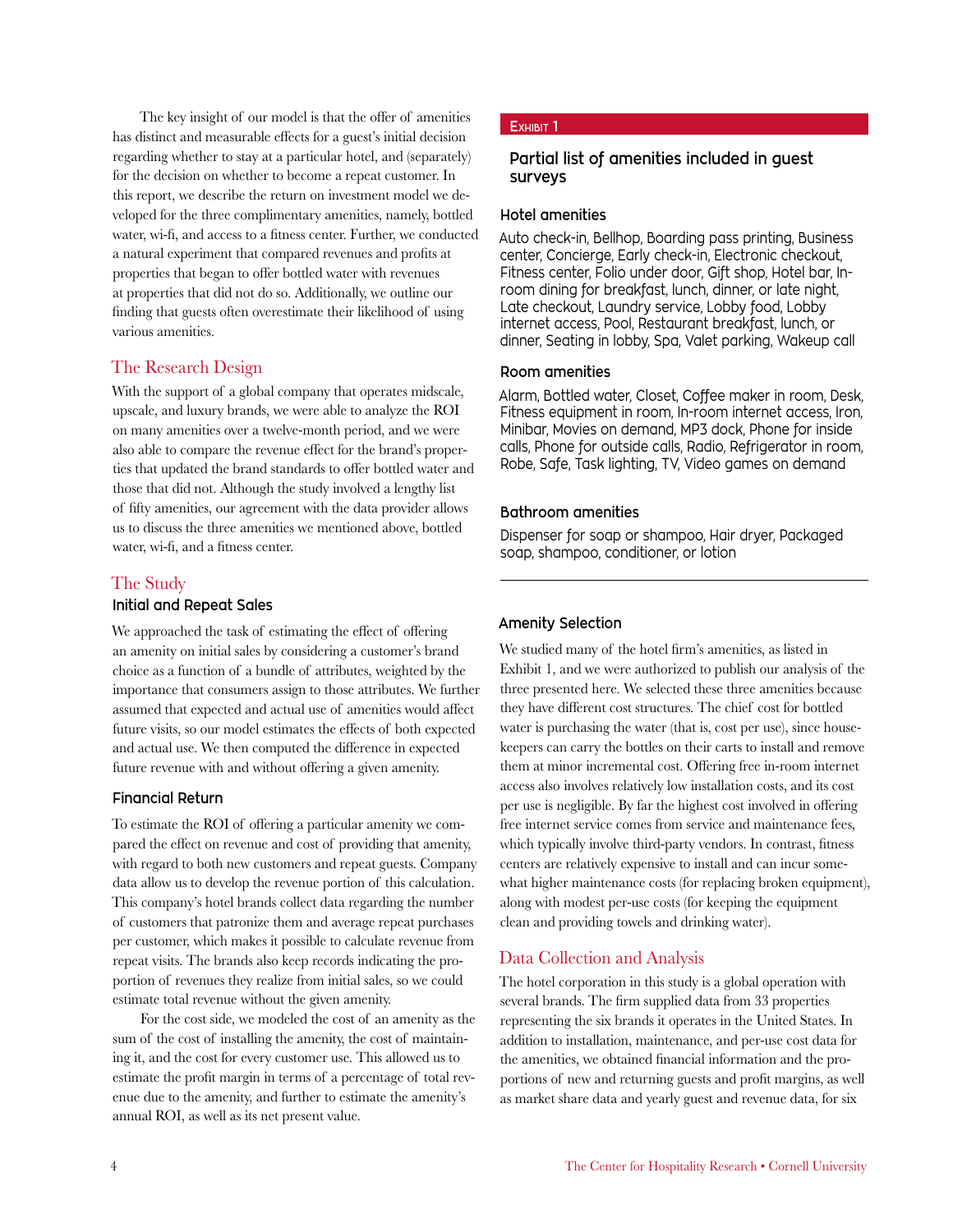The key insight of our model is that the offer of amenities has distinct and measurable effects for a guest's initial decision regarding whether to stay at a particular hotel, and (separately) for the decision on whether to become a repeat customer. In this report, we describe the return on investment model we developed for the three complimentary amenities, namely, bottled water, wi-fi, and access to a fitness center. Further, we conducted a natural experiment that compared revenues and profits at properties that began to offer bottled water with revenues at properties that did not do so. Additionally, we outline our finding that guests often overestimate their likelihood of using various amenities.

#### The Research Design

With the support of a global company that operates midscale, upscale, and luxury brands, we were able to analyze the ROI on many amenities over a twelve-month period, and we were also able to compare the revenue effect for the brand's properties that updated the brand standards to offer bottled water and those that did not. Although the study involved a lengthy list of fifty amenities, our agreement with the data provider allows us to discuss the three amenities we mentioned above, bottled water, wi-fi, and a fitness center.

#### The Study

#### **Initial and Repeat Sales**

We approached the task of estimating the effect of offering an amenity on initial sales by considering a customer's brand choice as a function of a bundle of attributes, weighted by the importance that consumers assign to those attributes. We further assumed that expected and actual use of amenities would affect future visits, so our model estimates the effects of both expected and actual use. We then computed the difference in expected future revenue with and without offering a given amenity.

#### **Financial Return**

To estimate the ROI of offering a particular amenity we compared the effect on revenue and cost of providing that amenity, with regard to both new customers and repeat guests. Company data allow us to develop the revenue portion of this calculation. This company's hotel brands collect data regarding the number of customers that patronize them and average repeat purchases per customer, which makes it possible to calculate revenue from repeat visits. The brands also keep records indicating the proportion of revenues they realize from initial sales, so we could estimate total revenue without the given amenity.

For the cost side, we modeled the cost of an amenity as the sum of the cost of installing the amenity, the cost of maintaining it, and the cost for every customer use. This allowed us to estimate the profit margin in terms of a percentage of total revenue due to the amenity, and further to estimate the amenity's annual ROI, as well as its net present value.

#### **Exhibit 1**

#### **Partial list of amenities included in guest surveys**

#### **Hotel amenities**

Auto check-in, Bellhop, Boarding pass printing, Business center, Concierge, Early check-in, Electronic checkout, Fitness center, Folio under door, Gift shop, Hotel bar, Inroom dining for breakfast, lunch, dinner, or late night, Late checkout, Laundry service, Lobby food, Lobby internet access, Pool, Restaurant breakfast, lunch, or dinner, Seating in lobby, Spa, Valet parking, Wakeup call

#### **Room amenities**

Alarm, Bottled water, Closet, Coffee maker in room, Desk, Fitness equipment in room, In-room internet access, Iron, Minibar, Movies on demand, MP3 dock, Phone for inside calls, Phone for outside calls, Radio, Refrigerator in room, Robe, Safe, Task lighting, TV, Video games on demand

#### **Bathroom amenities**

Dispenser for soap or shampoo, Hair dryer, Packaged soap, shampoo, conditioner, or lotion

#### **Amenity Selection**

We studied many of the hotel firm's amenities, as listed in Exhibit 1, and we were authorized to publish our analysis of the three presented here. We selected these three amenities because they have different cost structures. The chief cost for bottled water is purchasing the water (that is, cost per use), since housekeepers can carry the bottles on their carts to install and remove them at minor incremental cost. Offering free in-room internet access also involves relatively low installation costs, and its cost per use is negligible. By far the highest cost involved in offering free internet service comes from service and maintenance fees, which typically involve third-party vendors. In contrast, fitness centers are relatively expensive to install and can incur somewhat higher maintenance costs (for replacing broken equipment), along with modest per-use costs (for keeping the equipment clean and providing towels and drinking water).

#### Data Collection and Analysis

The hotel corporation in this study is a global operation with several brands. The firm supplied data from 33 properties representing the six brands it operates in the United States. In addition to installation, maintenance, and per-use cost data for the amenities, we obtained financial information and the proportions of new and returning guests and profit margins, as well as market share data and yearly guest and revenue data, for six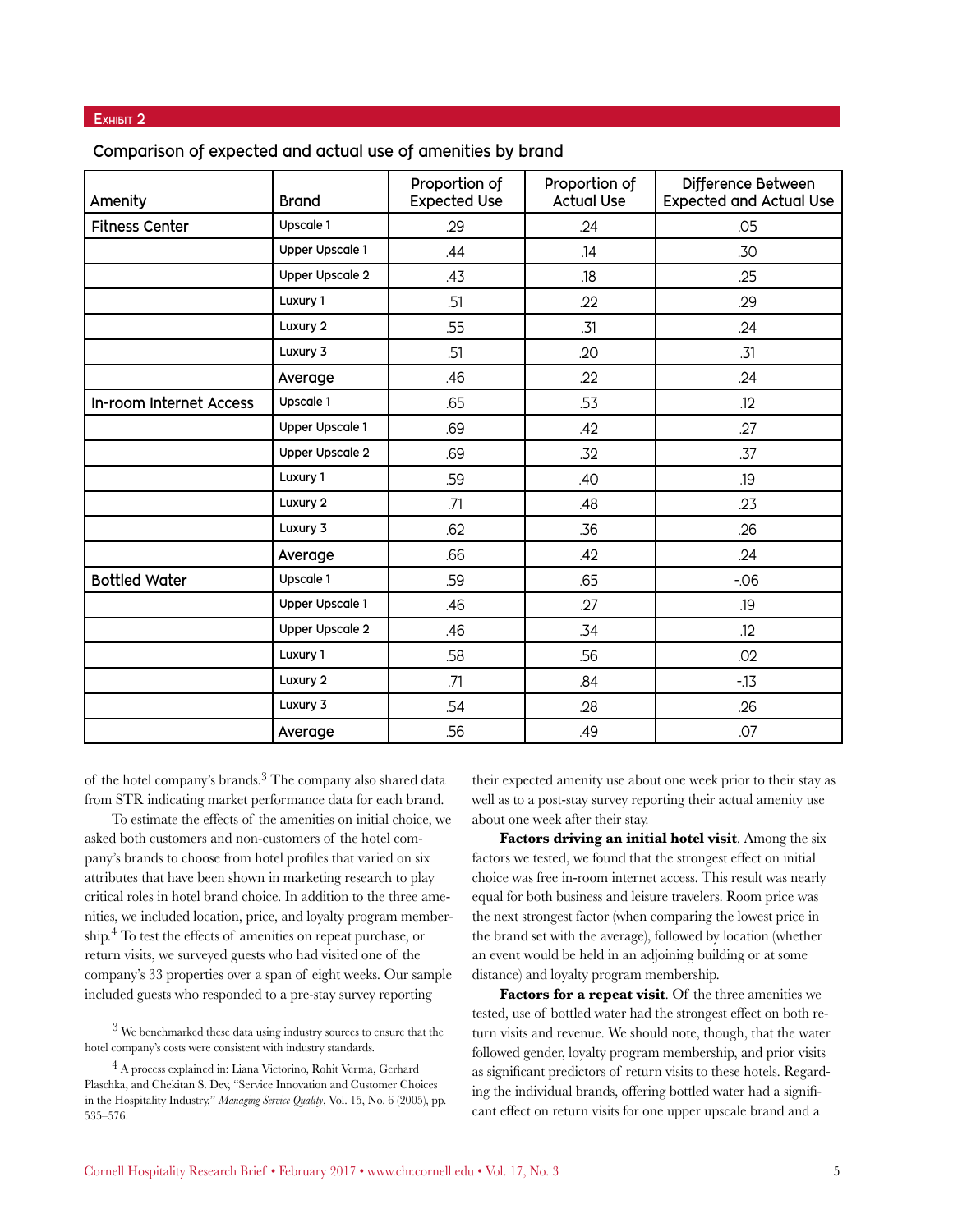#### EXHIBIT 2

| Amenity                 | <b>Brand</b>           | Proportion of<br><b>Expected Use</b> | Proportion of<br><b>Actual Use</b> | Difference Between<br><b>Expected and Actual Use</b> |
|-------------------------|------------------------|--------------------------------------|------------------------------------|------------------------------------------------------|
| <b>Fitness Center</b>   | Upscale 1              | .29                                  | .24                                | .05                                                  |
|                         | <b>Upper Upscale 1</b> | .44                                  | .14                                | .30                                                  |
|                         | <b>Upper Upscale 2</b> | .43                                  | .18                                | .25                                                  |
|                         | Luxury 1               | .51                                  | .22                                | .29                                                  |
|                         | Luxury 2               | .55                                  | .31                                | .24                                                  |
|                         | Luxury 3               | .51                                  | .20                                | .31                                                  |
|                         | Average                | .46                                  | .22                                | .24                                                  |
| In-room Internet Access | Upscale 1              | .65                                  | .53                                | .12                                                  |
|                         | <b>Upper Upscale 1</b> | .69                                  | .42                                | .27                                                  |
|                         | <b>Upper Upscale 2</b> | .69                                  | .32                                | .37                                                  |
|                         | Luxury 1               | .59                                  | .40                                | .19                                                  |
|                         | Luxury 2               | .71                                  | .48                                | .23                                                  |
|                         | Luxury 3               | .62                                  | .36                                | .26                                                  |
|                         | Average                | .66                                  | .42                                | .24                                                  |
| <b>Bottled Water</b>    | Upscale 1              | .59                                  | .65                                | $-06$                                                |
|                         | <b>Upper Upscale 1</b> | .46                                  | .27                                | .19                                                  |
|                         | <b>Upper Upscale 2</b> | .46                                  | .34                                | .12                                                  |
|                         | Luxury 1               | .58                                  | .56                                | .02                                                  |
|                         | Luxury 2               | .71                                  | .84                                | $-13$                                                |
|                         | Luxury 3               | .54                                  | .28                                | .26                                                  |
|                         | Average                | .56                                  | .49                                | .07                                                  |

**Comparison of expected and actual use of amenities by brand**

of the hotel company's brands.3 The company also shared data from STR indicating market performance data for each brand.

To estimate the effects of the amenities on initial choice, we asked both customers and non-customers of the hotel company's brands to choose from hotel profiles that varied on six attributes that have been shown in marketing research to play critical roles in hotel brand choice. In addition to the three amenities, we included location, price, and loyalty program membership.4 To test the effects of amenities on repeat purchase, or return visits, we surveyed guests who had visited one of the company's 33 properties over a span of eight weeks. Our sample included guests who responded to a pre-stay survey reporting

their expected amenity use about one week prior to their stay as well as to a post-stay survey reporting their actual amenity use about one week after their stay.

**Factors driving an initial hotel visit**. Among the six factors we tested, we found that the strongest effect on initial choice was free in-room internet access. This result was nearly equal for both business and leisure travelers. Room price was the next strongest factor (when comparing the lowest price in the brand set with the average), followed by location (whether an event would be held in an adjoining building or at some distance) and loyalty program membership.

Factors for a repeat visit. Of the three amenities we tested, use of bottled water had the strongest effect on both return visits and revenue. We should note, though, that the water followed gender, loyalty program membership, and prior visits as significant predictors of return visits to these hotels. Regarding the individual brands, offering bottled water had a significant effect on return visits for one upper upscale brand and a

 $3$  We benchmarked these data using industry sources to ensure that the hotel company's costs were consistent with industry standards.

<sup>4</sup> A process explained in: Liana Victorino, Rohit Verma, Gerhard Plaschka, and Chekitan S. Dev, "Service Innovation and Customer Choices in the Hospitality Industry," *Managing Service Quality*, Vol. 15, No. 6 (2005), pp. 535–576.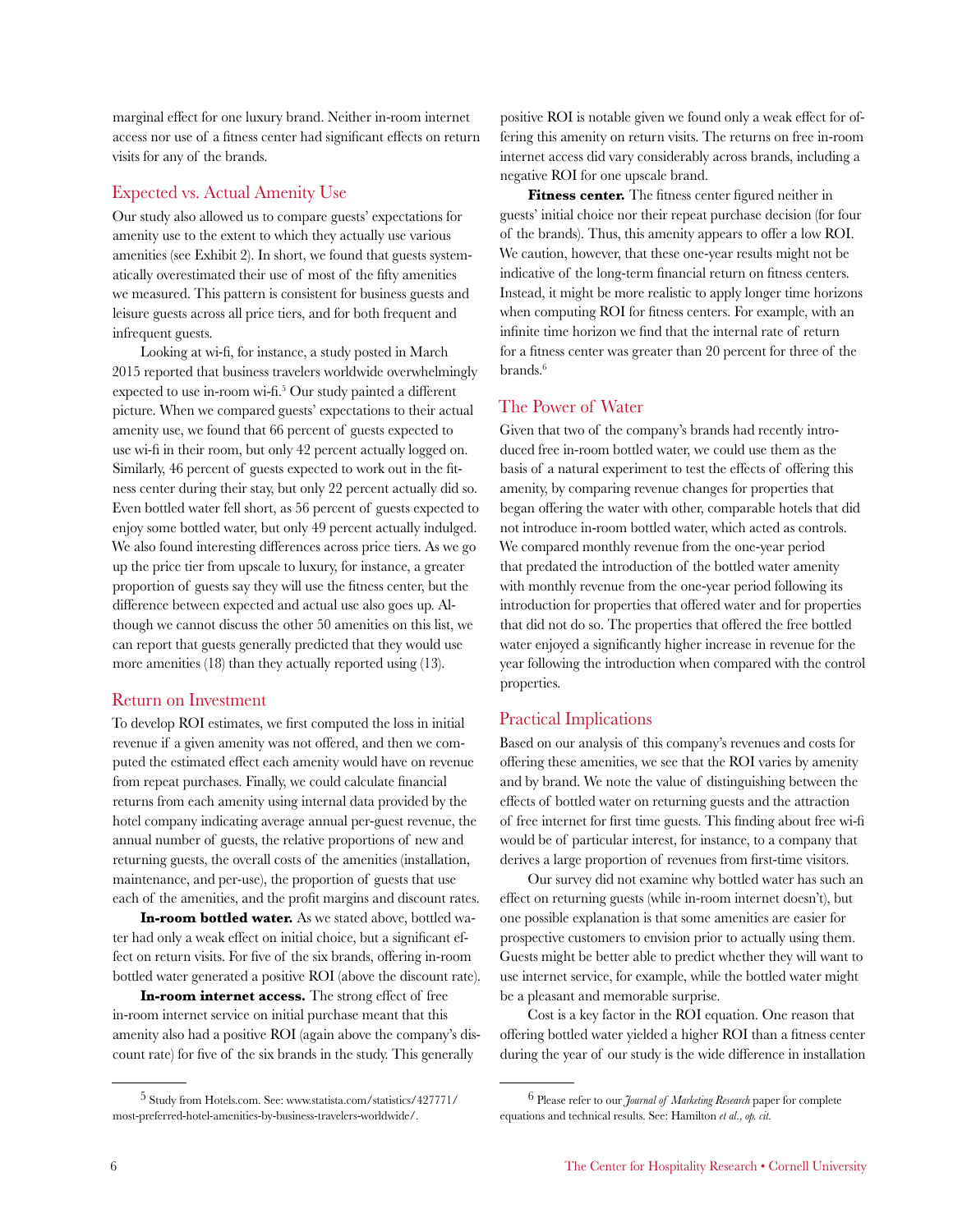marginal effect for one luxury brand. Neither in-room internet access nor use of a fitness center had significant effects on return visits for any of the brands.

#### Expected vs. Actual Amenity Use

Our study also allowed us to compare guests' expectations for amenity use to the extent to which they actually use various amenities (see Exhibit 2). In short, we found that guests systematically overestimated their use of most of the fifty amenities we measured. This pattern is consistent for business guests and leisure guests across all price tiers, and for both frequent and infrequent guests.

Looking at wi-fi, for instance, a study posted in March 2015 reported that business travelers worldwide overwhelmingly expected to use in-room wi-fi.<sup>5</sup> Our study painted a different picture. When we compared guests' expectations to their actual amenity use, we found that 66 percent of guests expected to use wi-fi in their room, but only 42 percent actually logged on. Similarly, 46 percent of guests expected to work out in the fitness center during their stay, but only 22 percent actually did so. Even bottled water fell short, as 56 percent of guests expected to enjoy some bottled water, but only 49 percent actually indulged. We also found interesting differences across price tiers. As we go up the price tier from upscale to luxury, for instance, a greater proportion of guests say they will use the fitness center, but the difference between expected and actual use also goes up. Although we cannot discuss the other 50 amenities on this list, we can report that guests generally predicted that they would use more amenities (18) than they actually reported using (13).

#### Return on Investment

To develop ROI estimates, we first computed the loss in initial revenue if a given amenity was not offered, and then we computed the estimated effect each amenity would have on revenue from repeat purchases. Finally, we could calculate financial returns from each amenity using internal data provided by the hotel company indicating average annual per-guest revenue, the annual number of guests, the relative proportions of new and returning guests, the overall costs of the amenities (installation, maintenance, and per-use), the proportion of guests that use each of the amenities, and the profit margins and discount rates.

**In-room bottled water.** As we stated above, bottled water had only a weak effect on initial choice, but a significant effect on return visits. For five of the six brands, offering in-room bottled water generated a positive ROI (above the discount rate).

**In-room internet access.** The strong effect of free in-room internet service on initial purchase meant that this amenity also had a positive ROI (again above the company's discount rate) for five of the six brands in the study. This generally

positive ROI is notable given we found only a weak effect for offering this amenity on return visits. The returns on free in-room internet access did vary considerably across brands, including a negative ROI for one upscale brand.

**Fitness center.** The fitness center figured neither in guests' initial choice nor their repeat purchase decision (for four of the brands). Thus, this amenity appears to offer a low ROI. We caution, however, that these one-year results might not be indicative of the long-term financial return on fitness centers. Instead, it might be more realistic to apply longer time horizons when computing ROI for fitness centers. For example, with an infinite time horizon we find that the internal rate of return for a fitness center was greater than 20 percent for three of the brands.<sup>6</sup>

#### The Power of Water

Given that two of the company's brands had recently introduced free in-room bottled water, we could use them as the basis of a natural experiment to test the effects of offering this amenity, by comparing revenue changes for properties that began offering the water with other, comparable hotels that did not introduce in-room bottled water, which acted as controls. We compared monthly revenue from the one-year period that predated the introduction of the bottled water amenity with monthly revenue from the one-year period following its introduction for properties that offered water and for properties that did not do so. The properties that offered the free bottled water enjoyed a significantly higher increase in revenue for the year following the introduction when compared with the control properties.

#### Practical Implications

Based on our analysis of this company's revenues and costs for offering these amenities, we see that the ROI varies by amenity and by brand. We note the value of distinguishing between the effects of bottled water on returning guests and the attraction of free internet for first time guests. This finding about free wi-fi would be of particular interest, for instance, to a company that derives a large proportion of revenues from first-time visitors.

Our survey did not examine why bottled water has such an effect on returning guests (while in-room internet doesn't), but one possible explanation is that some amenities are easier for prospective customers to envision prior to actually using them. Guests might be better able to predict whether they will want to use internet service, for example, while the bottled water might be a pleasant and memorable surprise.

Cost is a key factor in the ROI equation. One reason that offering bottled water yielded a higher ROI than a fitness center during the year of our study is the wide difference in installation

<sup>5</sup> Study from Hotels.com. See: www.statista.com/statistics/427771/ most-preferred-hotel-amenities-by-business-travelers-worldwide/.

<sup>6</sup> Please refer to our *Journal of Marketing Research* paper for complete equations and technical results. See: Hamilton *et al., op. cit.*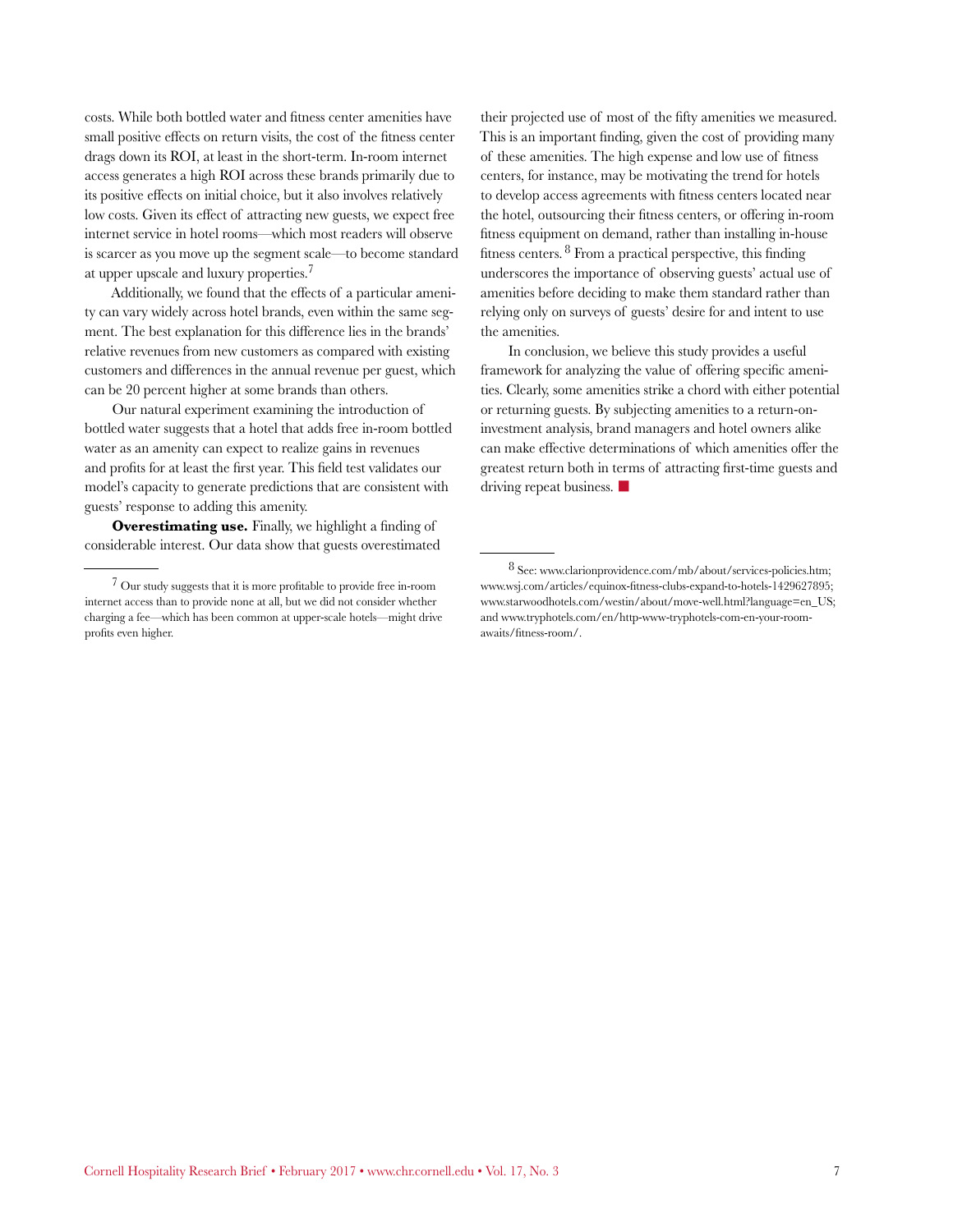costs. While both bottled water and fitness center amenities have small positive effects on return visits, the cost of the fitness center drags down its ROI, at least in the short-term. In-room internet access generates a high ROI across these brands primarily due to its positive effects on initial choice, but it also involves relatively low costs. Given its effect of attracting new guests, we expect free internet service in hotel rooms—which most readers will observe is scarcer as you move up the segment scale—to become standard at upper upscale and luxury properties.7

Additionally, we found that the effects of a particular amenity can vary widely across hotel brands, even within the same segment. The best explanation for this difference lies in the brands' relative revenues from new customers as compared with existing customers and differences in the annual revenue per guest, which can be 20 percent higher at some brands than others.

Our natural experiment examining the introduction of bottled water suggests that a hotel that adds free in-room bottled water as an amenity can expect to realize gains in revenues and profits for at least the first year. This field test validates our model's capacity to generate predictions that are consistent with guests' response to adding this amenity.

**Overestimating use.** Finally, we highlight a finding of considerable interest. Our data show that guests overestimated their projected use of most of the fifty amenities we measured. This is an important finding, given the cost of providing many of these amenities. The high expense and low use of fitness centers, for instance, may be motivating the trend for hotels to develop access agreements with fitness centers located near the hotel, outsourcing their fitness centers, or offering in-room fitness equipment on demand, rather than installing in-house fitness centers. 8 From a practical perspective, this finding underscores the importance of observing guests' actual use of amenities before deciding to make them standard rather than relying only on surveys of guests' desire for and intent to use the amenities.

In conclusion, we believe this study provides a useful framework for analyzing the value of offering specific amenities. Clearly, some amenities strike a chord with either potential or returning guests. By subjecting amenities to a return-oninvestment analysis, brand managers and hotel owners alike can make effective determinations of which amenities offer the greatest return both in terms of attracting first-time guests and driving repeat business.  $\blacksquare$ 

<sup>7</sup> Our study suggests that it is more profitable to provide free in-room internet access than to provide none at all, but we did not consider whether charging a fee—which has been common at upper-scale hotels—might drive profits even higher.

<sup>8</sup> See: www.clarionprovidence.com/mb/about/services-policies.htm; www.wsj.com/articles/equinox-fitness-clubs-expand-to-hotels-1429627895; www.starwoodhotels.com/westin/about/move-well.html?language=en\_US; and www.tryphotels.com/en/http-www-tryphotels-com-en-your-roomawaits/fitness-room/.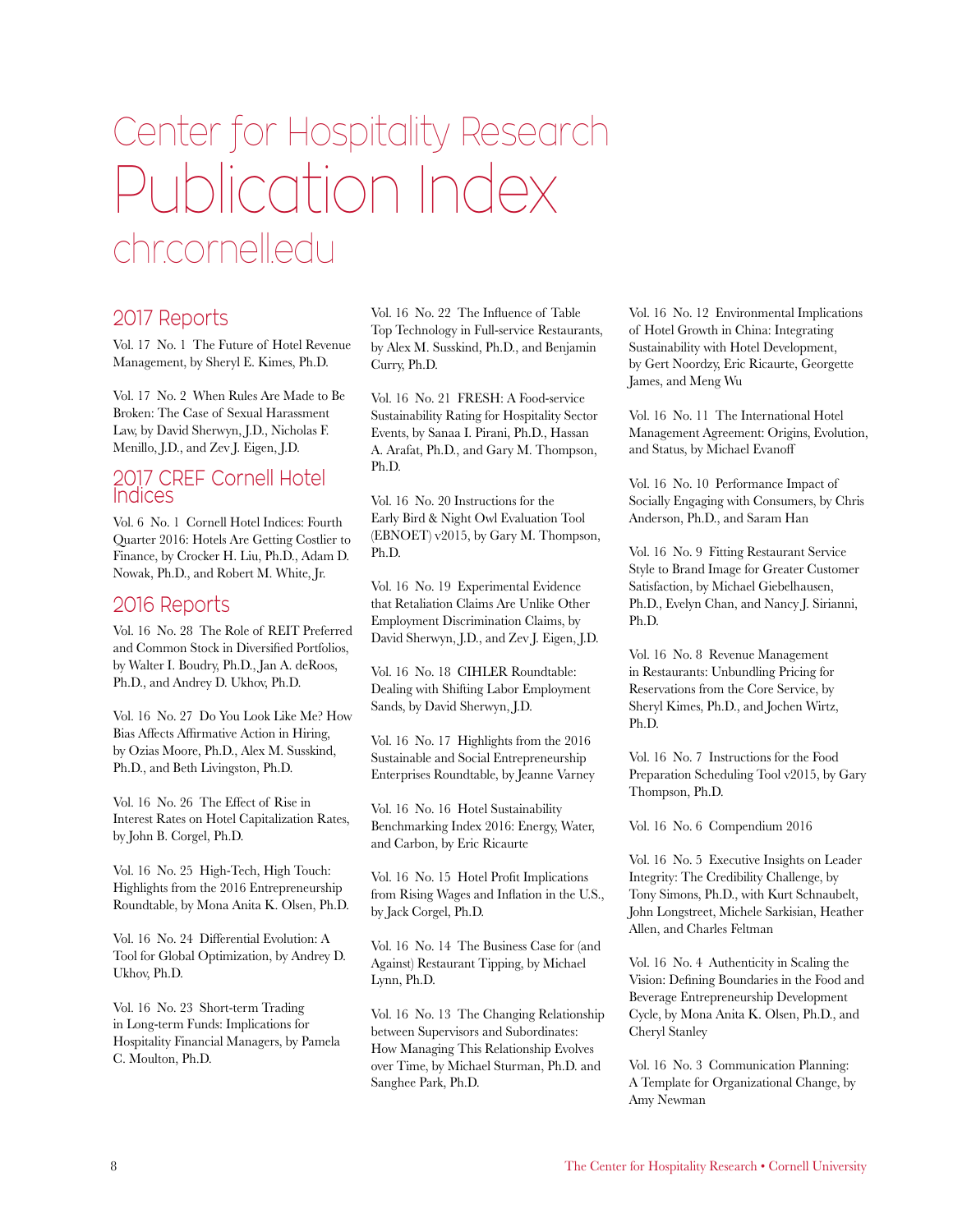# Center for Hospitality Research Publication Index chr.cornell.edu

#### 2017 Reports

Vol. 17 No. 1 The Future of Hotel Revenue Management, by Sheryl E. Kimes, Ph.D.

Vol. 17 No. 2 When Rules Are Made to Be Broken: The Case of Sexual Harassment Law, by David Sherwyn, J.D., Nicholas F. Menillo, J.D., and Zev J. Eigen, J.D.

#### 2017 CREF Cornell Hotel Indices

Vol. 6 No. 1 Cornell Hotel Indices: Fourth Quarter 2016: Hotels Are Getting Costlier to Finance, by Crocker H. Liu, Ph.D., Adam D. Nowak, Ph.D., and Robert M. White, Jr.

#### 2016 Reports

Vol. 16 No. 28 The Role of REIT Preferred and Common Stock in Diversified Portfolios, by Walter I. Boudry, Ph.D., Jan A. deRoos, Ph.D., and Andrey D. Ukhov, Ph.D.

Vol. 16 No. 27 Do You Look Like Me? How Bias Affects Affirmative Action in Hiring, by Ozias Moore, Ph.D., Alex M. Susskind, Ph.D., and Beth Livingston, Ph.D.

Vol. 16 No. 26 The Effect of Rise in Interest Rates on Hotel Capitalization Rates, by John B. Corgel, Ph.D.

Vol. 16 No. 25 High-Tech, High Touch: Highlights from the 2016 Entrepreneurship Roundtable, by Mona Anita K. Olsen, Ph.D.

Vol. 16 No. 24 Differential Evolution: A Tool for Global Optimization, by Andrey D. Ukhov, Ph.D.

Vol. 16 No. 23 Short-term Trading in Long-term Funds: Implications for Hospitality Financial Managers, by Pamela C. Moulton, Ph.D.

Vol. 16 No. 22 The Influence of Table Top Technology in Full-service Restaurants, by Alex M. Susskind, Ph.D., and Benjamin Curry, Ph.D.

Vol. 16 No. 21 FRESH: A Food-service Sustainability Rating for Hospitality Sector Events, by Sanaa I. Pirani, Ph.D., Hassan A. Arafat, Ph.D., and Gary M. Thompson, Ph.D.

Vol. 16 No. 20 Instructions for the Early Bird & Night Owl Evaluation Tool (EBNOET) v2015, by Gary M. Thompson, Ph.D.

Vol. 16 No. 19 Experimental Evidence that Retaliation Claims Are Unlike Other Employment Discrimination Claims, by David Sherwyn, J.D., and Zev J. Eigen, J.D.

Vol. 16 No. 18 CIHLER Roundtable: Dealing with Shifting Labor Employment Sands, by David Sherwyn, J.D.

Vol. 16 No. 17 Highlights from the 2016 Sustainable and Social Entrepreneurship Enterprises Roundtable, by Jeanne Varney

Vol. 16 No. 16 Hotel Sustainability Benchmarking Index 2016: Energy, Water, and Carbon, by Eric Ricaurte

Vol. 16 No. 15 Hotel Profit Implications from Rising Wages and Inflation in the U.S., by Jack Corgel, Ph.D.

Vol. 16 No. 14 The Business Case for (and Against) Restaurant Tipping, by Michael Lynn, Ph.D.

Vol. 16 No. 13 The Changing Relationship between Supervisors and Subordinates: How Managing This Relationship Evolves over Time, by Michael Sturman, Ph.D. and Sanghee Park, Ph.D.

Vol. 16 No. 12 Environmental Implications of Hotel Growth in China: Integrating Sustainability with Hotel Development, by [Gert Noordzy,](http://mstracker.com/index.php?fuseaction=Admin.ShowAuthorToUpdate&AuthorID=39680&ms=Y) Eric Ricaurte, [Georgette](http://mstracker.com/index.php?fuseaction=Admin.ShowAuthorToUpdate&AuthorID=116514&ms=Y)  [James,](http://mstracker.com/index.php?fuseaction=Admin.ShowAuthorToUpdate&AuthorID=116514&ms=Y) and [Meng Wu](http://mstracker.com/index.php?fuseaction=Admin.ShowAuthorToUpdate&AuthorID=116515&ms=Y)

Vol. 16 No. 11 The International Hotel Management Agreement: Origins, Evolution, and Status, by Michael Evanoff

Vol. 16 No. 10 Performance Impact of Socially Engaging with Consumers, by Chris Anderson, Ph.D., and Saram Han

Vol. 16 No. 9 Fitting Restaurant Service Style to Brand Image for Greater Customer Satisfaction, by Michael Giebelhausen, Ph.D., Evelyn Chan, and Nancy J. Sirianni, Ph.D.

Vol. 16 No. 8 Revenue Management in Restaurants: Unbundling Pricing for Reservations from the Core Service, by Sheryl Kimes, Ph.D., and Jochen Wirtz, Ph.D.

Vol. 16 No. 7 Instructions for the Food Preparation Scheduling Tool v2015, by Gary Thompson, Ph.D.

Vol. 16 No. 6 Compendium 2016

Vol. 16 No. 5 Executive Insights on Leader Integrity: The Credibility Challenge, by Tony Simons, Ph.D., with Kurt Schnaubelt, John Longstreet, Michele Sarkisian, Heather Allen, and Charles Feltman

Vol. 16 No. 4 Authenticity in Scaling the Vision: Defining Boundaries in the Food and Beverage Entrepreneurship Development Cycle, by Mona Anita K. Olsen, Ph.D., and Cheryl Stanley

Vol. 16 No. 3 Communication Planning: A Template for Organizational Change, by Amy Newman